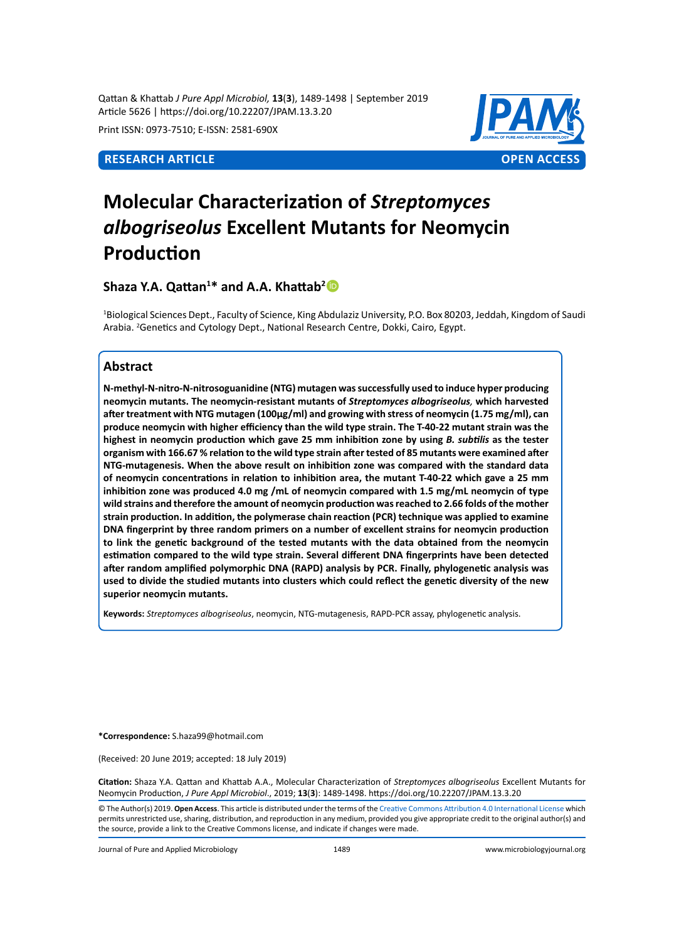Qattan & Khattab *J Pure Appl Microbiol,* **13**(**3**), 1489-1498 | September 2019 Article 5626 | https://doi.org/10.22207/JPAM.13.3.20

Print ISSN: 0973-7510; E-ISSN: 2581-690X



# **Molecular Characterization of** *Streptomyces albogriseolus* **Excellent Mutants for Neomycin Production**

# **Shaza Y.A. Qattan<sup>1</sup> \* and A.A. Khattab<sup>2</sup>**

1 Biological Sciences Dept., Faculty of Science, King Abdulaziz University, P.O. Box 80203, Jeddah, Kingdom of Saudi Arabia. <sup>2</sup>Genetics and Cytology Dept., National Research Centre, Dokki, Cairo, Egypt.

# **Abstract**

**N-methyl-N-nitro-N-nitrosoguanidine (NTG) mutagen was successfully used to induce hyper producing neomycin mutants. The neomycin-resistant mutants of** *Streptomyces albogriseolus,* **which harvested after treatment with NTG mutagen (100µg/ml) and growing with stress of neomycin (1.75 mg/ml), can produce neomycin with higher efficiency than the wild type strain. The T-40-22 mutant strain was the highest in neomycin production which gave 25 mm inhibition zone by using** *B. subtilis* **as the tester organism with 166.67 % relation to the wild type strain after tested of 85 mutants were examined after NTG-mutagenesis. When the above result on inhibition zone was compared with the standard data of neomycin concentrations in relation to inhibition area, the mutant T-40-22 which gave a 25 mm inhibition zone was produced 4.0 mg /mL of neomycin compared with 1.5 mg/mL neomycin of type wild strains and therefore the amount of neomycin production was reached to 2.66 folds of the mother strain production. In addition, the polymerase chain reaction (PCR) technique was applied to examine DNA fingerprint by three random primers on a number of excellent strains for neomycin production to link the genetic background of the tested mutants with the data obtained from the neomycin estimation compared to the wild type strain. Several different DNA fingerprints have been detected after random amplified polymorphic DNA (RAPD) analysis by PCR. Finally, phylogenetic analysis was used to divide the studied mutants into clusters which could reflect the genetic diversity of the new superior neomycin mutants.**

**Keywords:** *Streptomyces albogriseolus*, neomycin, NTG-mutagenesis, RAPD-PCR assay, phylogenetic analysis.

**\*Correspondence:** S.haza99@hotmail.com

(Received: 20 June 2019; accepted: 18 July 2019)

**Citation:** Shaza Y.A. Qattan and Khattab A.A., Molecular Characterization of *Streptomyces albogriseolus* Excellent Mutants for Neomycin Production, *J Pure Appl Microbiol*., 2019; **13**(**3**): 1489-1498. https://doi.org/10.22207/JPAM.13.3.20

© The Author(s) 2019. **Open Access**. This article is distributed under the terms of the [Creative Commons Attribution 4.0 International License](https://creativecommons.org/licenses/by/4.0/) which permits unrestricted use, sharing, distribution, and reproduction in any medium, provided you give appropriate credit to the original author(s) and the source, provide a link to the Creative Commons license, and indicate if changes were made.

Journal of Pure and Applied Microbiology 1489 www.microbiologyjournal.org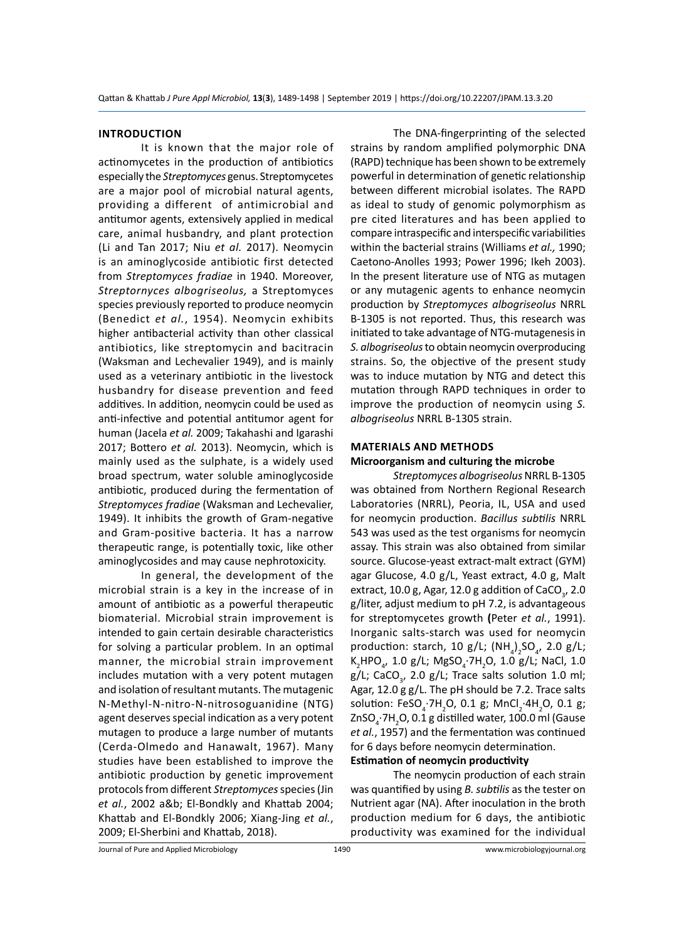#### **Introduction**

It is known that the major role of actinomycetes in the production of antibiotics especially the *Streptomyces* genus. Streptomycetes are a major pool of microbial natural agents, providing a different of antimicrobial and antitumor agents, extensively applied in medical care, animal husbandry, and plant protection (Li and Tan 2017; Niu *et al.* 2017). Neomycin is an aminoglycoside antibiotic first detected from *Streptomyces fradiae* in 1940. Moreover, *Streptornyces albogriseolus,* a Streptomyces species previously reported to produce neomycin (Benedict *et al.*, 1954). Neomycin exhibits higher antibacterial activity than other classical antibiotics, like streptomycin and bacitracin (Waksman and Lechevalier 1949), and is mainly used as a veterinary antibiotic in the livestock husbandry for disease prevention and feed additives. In addition, neomycin could be used as anti-infective and potential antitumor agent for human (Jacela *et al.* 2009; Takahashi and Igarashi 2017; Bottero *et al.* 2013). Neomycin, which is mainly used as the sulphate, is a widely used broad spectrum, water soluble aminoglycoside antibiotic, produced during the fermentation of *Streptomyces fradiae* (Waksman and Lechevalier, 1949). It inhibits the growth of Gram-negative and Gram-positive bacteria. It has a narrow therapeutic range, is potentially toxic, like other aminoglycosides and may cause nephrotoxicity.

In general, the development of the microbial strain is a key in the increase of in amount of antibiotic as a powerful therapeutic biomaterial. Microbial strain improvement is intended to gain certain desirable characteristics for solving a particular problem. In an optimal manner, the microbial strain improvement includes mutation with a very potent mutagen and isolation of resultant mutants. The mutagenic N-Methyl-N-nitro-N-nitrosoguanidine (NTG) agent deserves special indication as a very potent mutagen to produce a large number of mutants (Cerda-Olmedo and Hanawalt, 1967). Many studies have been established to improve the antibiotic production by genetic improvement protocols from different *Streptomyces* species (Jin *et al.*, 2002 a&b; El-Bondkly and Khattab 2004; Khattab and El-Bondkly 2006; Xiang-Jing *et al.*, 2009; El-Sherbini and Khattab, 2018).

The DNA-fingerprinting of the selected strains by random amplified polymorphic DNA (RAPD) technique has been shown to be extremely powerful in determination of genetic relationship between different microbial isolates. The RAPD as ideal to study of genomic polymorphism as pre cited literatures and has been applied to compare intraspecific and interspecific variabilities within the bacterial strains (Williams *et al.,* 1990; Caetono-Anolles 1993; Power 1996; Ikeh 2003). In the present literature use of NTG as mutagen or any mutagenic agents to enhance neomycin production by *Streptomyces albogriseolus* NRRL B-1305 is not reported. Thus, this research was initiated to take advantage of NTG-mutagenesis in *S. albogriseolus* to obtain neomycin overproducing strains. So, the objective of the present study was to induce mutation by NTG and detect this mutation through RAPD techniques in order to improve the production of neomycin using *S. albogriseolus* NRRL B-1305 strain.

# **Materials and Methods**

#### **Microorganism and culturing the microbe**

*Streptomyces albogriseolus* NRRL B-1305 was obtained from Northern Regional Research Laboratories (NRRL), Peoria, IL, USA and used for neomycin production. *Bacillus subtilis* NRRL 543 was used as the test organisms for neomycin assay. This strain was also obtained from similar source. Glucose-yeast extract-malt extract (GYM) agar Glucose, 4.0 g/L, Yeast extract, 4.0 g, Malt extract, 10.0 g, Agar, 12.0 g addition of CaCO $_{_3}$ , 2.0 g/liter, adjust medium to pH 7.2, is advantageous for streptomycetes growth **(**Peter *et al.*, 1991). Inorganic salts-starch was used for neomycin production: starch, 10 g/L;  $(\text{NH}_4)_2\text{SO}_4$ , 2.0 g/L; K2 HPO<sup>4</sup> , 1.0 g/L; MgSO<sup>4</sup> ·7H<sup>2</sup> O, 1.0 g/L; NaCl, 1.0 g/L; CaCO<sub>3</sub>, 2.0 g/L; Trace salts solution 1.0 ml; Agar, 12.0 g g/L. The pH should be 7.2. Trace salts solution: FeSO<sub>4</sub>·7H<sub>2</sub>O, 0.1 g; MnCl<sub>2</sub>·4H<sub>2</sub>O, 0.1 g; ZnSO $_{\mathtt{4}}$ ·7H $_{\mathtt{2}}$ O, 0.1 g distilled water, 100.0 ml (Gause *et al.*, 1957) and the fermentation was continued for 6 days before neomycin determination.

# **Estimation of neomycin productivity**

The neomycin production of each strain was quantified by using *B. subtilis* as the tester on Nutrient agar (NA). After inoculation in the broth production medium for 6 days, the antibiotic productivity was examined for the individual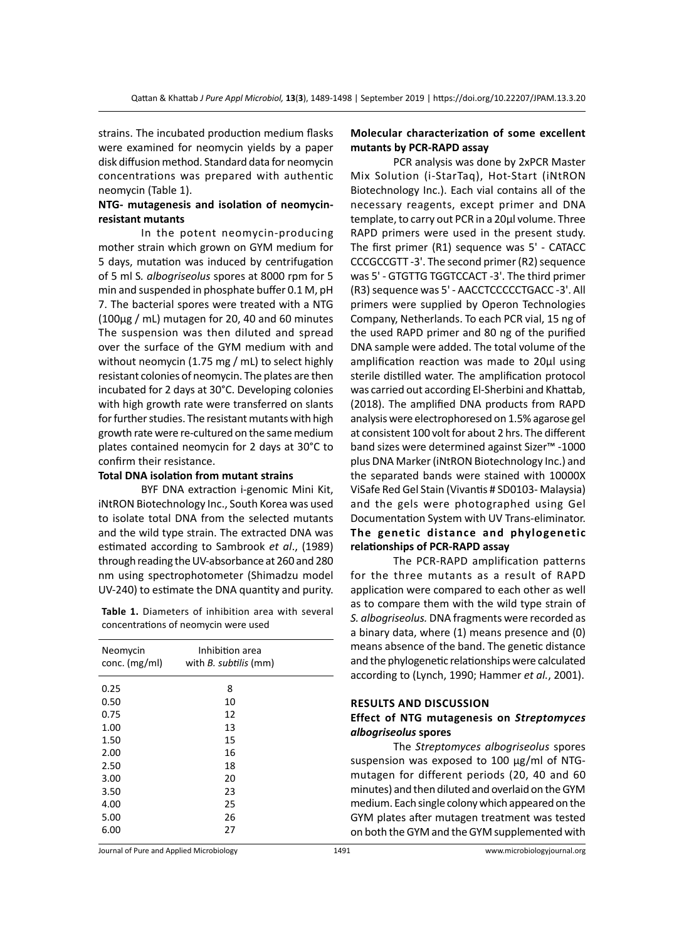strains. The incubated production medium flasks were examined for neomycin yields by a paper disk diffusion method. Standard data for neomycin concentrations was prepared with authentic neomycin (Table 1).

#### **NTG- mutagenesis and isolation of neomycinresistant mutants**

In the potent neomycin-producing mother strain which grown on GYM medium for 5 days, mutation was induced by centrifugation of 5 ml S*. albogriseolus* spores at 8000 rpm for 5 min and suspended in phosphate buffer 0.1 M, pH 7. The bacterial spores were treated with a NTG (100µg / mL) mutagen for 20, 40 and 60 minutes The suspension was then diluted and spread over the surface of the GYM medium with and without neomycin (1.75 mg / mL) to select highly resistant colonies of neomycin. The plates are then incubated for 2 days at 30°C. Developing colonies with high growth rate were transferred on slants for further studies. The resistant mutants with high growth rate were re-cultured on the same medium plates contained neomycin for 2 days at 30°C to confirm their resistance.

#### **Total DNA isolation from mutant strains**

BYF DNA extraction i-genomic Mini Kit, iNtRON Biotechnology Inc., South Korea was used to isolate total DNA from the selected mutants and the wild type strain. The extracted DNA was estimated according to Sambrook *et al*., (1989) through reading the UV-absorbance at 260 and 280 nm using spectrophotometer (Shimadzu model UV-240) to estimate the DNA quantity and purity.

**Table 1.** Diameters of inhibition area with several concentrations of neomycin were used

| Neomycin<br>conc. $(mg/ml)$ | Inhibition area<br>with <i>B. subtilis</i> (mm) |  |
|-----------------------------|-------------------------------------------------|--|
| 0.25                        | 8                                               |  |
| 0.50                        | 10                                              |  |
| 0.75                        | 12                                              |  |
| 1.00                        | 13                                              |  |
| 1.50                        | 15                                              |  |
| 2.00                        | 16                                              |  |
| 2.50                        | 18                                              |  |
| 3.00                        | 20                                              |  |
| 3.50                        | 23                                              |  |
| 4.00                        | 25                                              |  |
| 5.00                        | 26                                              |  |
| 6.00                        | 27                                              |  |

#### **Molecular characterization of some excellent mutants by PCR-RAPD assay**

PCR analysis was done by 2xPCR Master Mix Solution (i-StarTaq), Hot-Start (iNtRON Biotechnology Inc.). Each vial contains all of the necessary reagents, except primer and DNA template, to carry out PCR in a 20µl volume. Three RAPD primers were used in the present study. The first primer (R1) sequence was 5' - CATACC CCCGCCGTT -3'. The second primer (R2) sequence was 5' - GTGTTG TGGTCCACT -3'. The third primer (R3) sequence was 5' - AACCTCCCCCTGACC -3'. All primers were supplied by Operon Technologies Company, Netherlands. To each PCR vial, 15 ng of the used RAPD primer and 80 ng of the purified DNA sample were added. The total volume of the amplification reaction was made to 20µl using sterile distilled water. The amplification protocol was carried out according El-Sherbini and Khattab, (2018). The amplified DNA products from RAPD analysis were electrophoresed on 1.5% agarose gel at consistent 100 volt for about 2 hrs. The different band sizes were determined against Sizer™ -1000 plus DNA Marker (iNtRON Biotechnology Inc.) and the separated bands were stained with 10000X ViSafe Red Gel Stain (Vivantis # SD0103- Malaysia) and the gels were photographed using Gel Documentation System with UV Trans-eliminator. **The genetic distance and phylogenetic relationships of PCR-RAPD assay**

The PCR-RAPD amplification patterns for the three mutants as a result of RAPD application were compared to each other as well as to compare them with the wild type strain of *S. albogriseolus.* DNA fragments were recorded as a binary data, where (1) means presence and (0) means absence of the band. The genetic distance and the phylogenetic relationships were calculated according to (Lynch, 1990; Hammer *et al.*, 2001).

#### **Results and discussion**

### **Effect of NTG mutagenesis on** *Streptomyces albogriseolus* **spores**

The *Streptomyces albogriseolus* spores suspension was exposed to 100 µg/ml of NTGmutagen for different periods (20, 40 and 60 minutes) and then diluted and overlaid on the GYM medium. Each single colony which appeared on the GYM plates after mutagen treatment was tested on both the GYM and the GYM supplemented with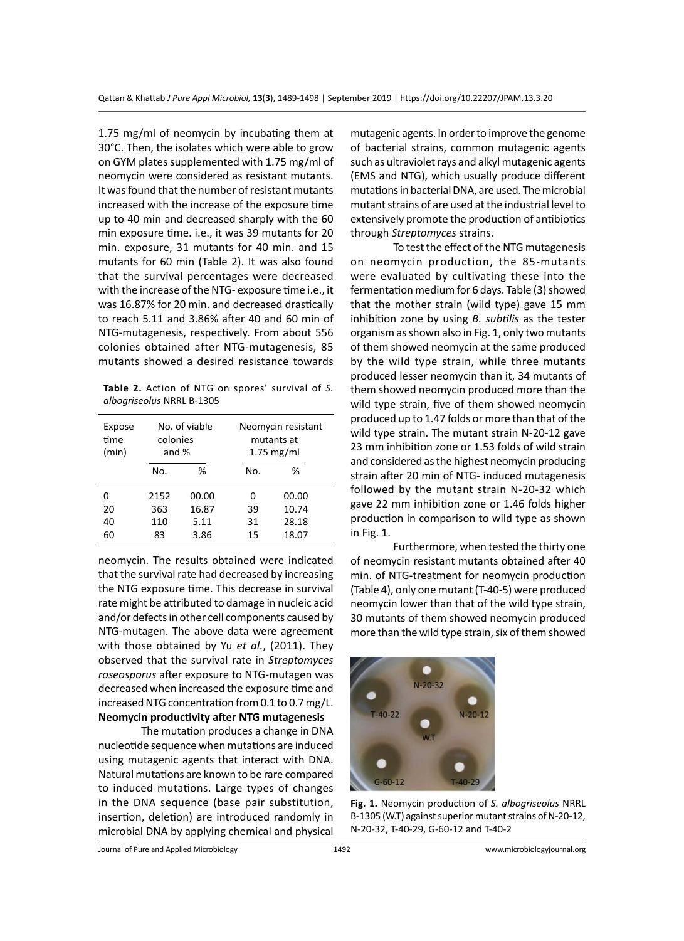1.75 mg/ml of neomycin by incubating them at 30°C. Then, the isolates which were able to grow on GYM plates supplemented with 1.75 mg/ml of neomycin were considered as resistant mutants. It was found that the number of resistant mutants increased with the increase of the exposure time up to 40 min and decreased sharply with the 60 min exposure time. i.e., it was 39 mutants for 20 min. exposure, 31 mutants for 40 min. and 15 mutants for 60 min (Table 2). It was also found that the survival percentages were decreased with the increase of the NTG- exposure time i.e., it was 16.87% for 20 min. and decreased drastically to reach 5.11 and 3.86% after 40 and 60 min of NTG-mutagenesis, respectively. From about 556 colonies obtained after NTG-mutagenesis, 85 mutants showed a desired resistance towards

**Table 2.** Action of NTG on spores' survival of *S. albogriseolus* NRRL B-1305

| Expose<br>time<br>(min) | No. of viable<br>colonies<br>and $%$ |       |     | Neomycin resistant<br>mutants at<br>$1.75$ mg/ml |
|-------------------------|--------------------------------------|-------|-----|--------------------------------------------------|
|                         | ℅<br>No.                             |       | No. | %                                                |
| ი                       | 2152                                 | 00.00 | n   | 00.00                                            |
| 20                      | 363                                  | 16.87 | 39  | 10.74                                            |
| 40                      | 110                                  | 5.11  | 31  | 28.18                                            |
| 60                      | 3.86<br>83                           |       | 15  | 18.07                                            |

neomycin. The results obtained were indicated that the survival rate had decreased by increasing the NTG exposure time. This decrease in survival rate might be attributed to damage in nucleic acid and/or defects in other cell components caused by NTG-mutagen. The above data were agreement with those obtained by Yu *et al.*, (2011). They observed that the survival rate in *Streptomyces roseosporus* after exposure to NTG-mutagen was decreased when increased the exposure time and increased NTG concentration from 0.1 to 0.7 mg/L. **Neomycin productivity after NTG mutagenesis**

The mutation produces a change in DNA nucleotide sequence when mutations are induced using mutagenic agents that interact with DNA. Natural mutations are known to be rare compared to induced mutations. Large types of changes in the DNA sequence (base pair substitution, insertion, deletion) are introduced randomly in microbial DNA by applying chemical and physical mutagenic agents. In order to improve the genome of bacterial strains, common mutagenic agents such as ultraviolet rays and alkyl mutagenic agents (EMS and NTG), which usually produce different mutations in bacterial DNA, are used. The microbial mutant strains of are used at the industrial level to extensively promote the production of antibiotics through *Streptomyces* strains.

To test the effect of the NTG mutagenesis on neomycin production, the 85-mutants were evaluated by cultivating these into the fermentation medium for 6 days. Table (3) showed that the mother strain (wild type) gave 15 mm inhibition zone by using *B. subtilis* as the tester organism as shown also in Fig. 1, only two mutants of them showed neomycin at the same produced by the wild type strain, while three mutants produced lesser neomycin than it, 34 mutants of them showed neomycin produced more than the wild type strain, five of them showed neomycin produced up to 1.47 folds or more than that of the wild type strain. The mutant strain N-20-12 gave 23 mm inhibition zone or 1.53 folds of wild strain and considered as the highest neomycin producing strain after 20 min of NTG- induced mutagenesis followed by the mutant strain N-20-32 which gave 22 mm inhibition zone or 1.46 folds higher production in comparison to wild type as shown in Fig. 1.

Furthermore, when tested the thirty one of neomycin resistant mutants obtained after 40 min. of NTG-treatment for neomycin production (Table 4), only one mutant (T-40-5) were produced neomycin lower than that of the wild type strain, 30 mutants of them showed neomycin produced more than the wild type strain, six of them showed



**Fig. 1.** Neomycin production of *S. albogriseolus* NRRL B-1305 (W.T) against superior mutant strains of N-20-12, N-20-32, T-40-29, G-60-12 and T-40-2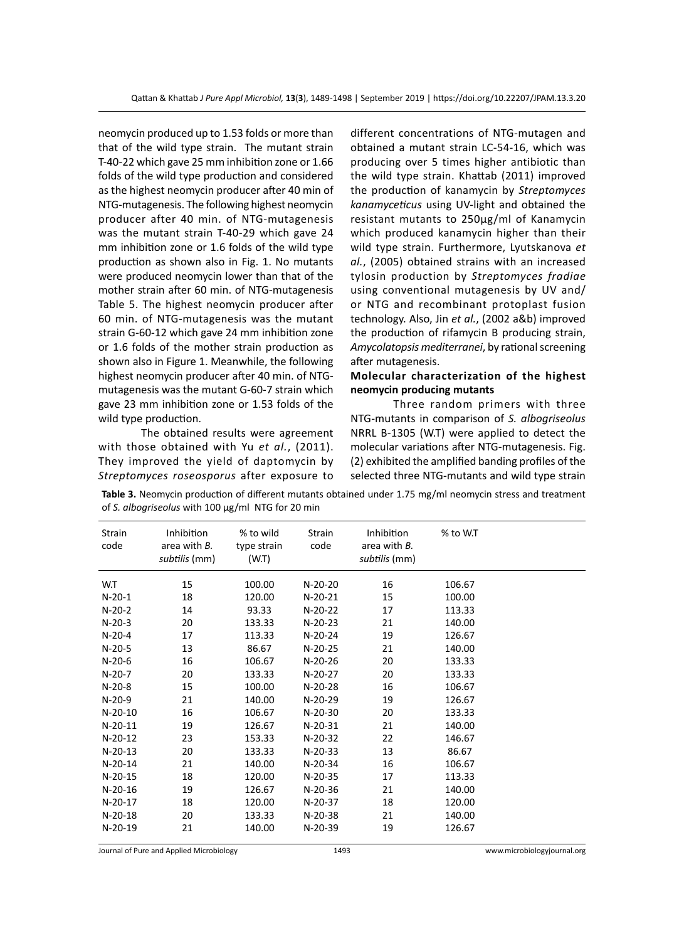neomycin produced up to 1.53 folds or more than that of the wild type strain. The mutant strain T-40-22 which gave 25 mm inhibition zone or 1.66 folds of the wild type production and considered as the highest neomycin producer after 40 min of NTG-mutagenesis. The following highest neomycin producer after 40 min. of NTG-mutagenesis was the mutant strain T-40-29 which gave 24 mm inhibition zone or 1.6 folds of the wild type production as shown also in Fig. 1. No mutants were produced neomycin lower than that of the mother strain after 60 min. of NTG-mutagenesis Table 5. The highest neomycin producer after 60 min. of NTG-mutagenesis was the mutant strain G-60-12 which gave 24 mm inhibition zone or 1.6 folds of the mother strain production as shown also in Figure 1. Meanwhile, the following highest neomycin producer after 40 min. of NTGmutagenesis was the mutant G-60-7 strain which gave 23 mm inhibition zone or 1.53 folds of the wild type production.

The obtained results were agreement with those obtained with Yu *et al.*, (2011). They improved the yield of daptomycin by *Streptomyces roseosporus* after exposure to different concentrations of NTG-mutagen and obtained a mutant strain LC-54-16, which was producing over 5 times higher antibiotic than the wild type strain. Khattab (2011) improved the production of kanamycin by *Streptomyces kanamyceticus* using UV-light and obtained the resistant mutants to 250µg/ml of Kanamycin which produced kanamycin higher than their wild type strain. Furthermore, Lyutskanova *et al.*, (2005) obtained strains with an increased tylosin production by *Streptomyces fradiae* using conventional mutagenesis by UV and/ or NTG and recombinant protoplast fusion technology. Also, Jin *et al.*, (2002 a&b) improved the production of rifamycin B producing strain, *Amycolatopsis mediterranei*, by rational screening after mutagenesis.

### **Molecular characterization of the highest neomycin producing mutants**

Three random primers with three NTG-mutants in comparison of *S. albogriseolus*  NRRL B-1305 (W.T) were applied to detect the molecular variations after NTG-mutagenesis. Fig. (2) exhibited the amplified banding profiles of the selected three NTG-mutants and wild type strain

**Table 3.** Neomycin production of different mutants obtained under 1.75 mg/ml neomycin stress and treatment of *S. albogriseolus* with 100 µg/ml NTG for 20 min

| Strain<br>code | Inhibition<br>area with B.<br>subtilis (mm) | % to wild<br>type strain<br>(W.T) | Strain<br>code | Inhibition<br>area with B.<br>subtilis (mm) | % to W.T |  |
|----------------|---------------------------------------------|-----------------------------------|----------------|---------------------------------------------|----------|--|
| W.T            | 15                                          | 100.00                            | $N-20-20$      | 16                                          | 106.67   |  |
| $N-20-1$       | 18                                          | 120.00                            | $N-20-21$      | 15                                          | 100.00   |  |
| $N-20-2$       | 14                                          | 93.33                             | N-20-22        | 17                                          | 113.33   |  |
| $N-20-3$       | 20                                          | 133.33                            | $N-20-23$      | 21                                          | 140.00   |  |
| $N-20-4$       | 17                                          | 113.33                            | $N-20-24$      | 19                                          | 126.67   |  |
| $N-20-5$       | 13                                          | 86.67                             | $N-20-25$      | 21                                          | 140.00   |  |
| $N-20-6$       | 16                                          | 106.67                            | $N-20-26$      | 20                                          | 133.33   |  |
| $N-20-7$       | 20                                          | 133.33                            | N-20-27        | 20                                          | 133.33   |  |
| $N-20-8$       | 15                                          | 100.00                            | $N-20-28$      | 16                                          | 106.67   |  |
| $N-20-9$       | 21                                          | 140.00                            | N-20-29        | 19                                          | 126.67   |  |
| $N-20-10$      | 16                                          | 106.67                            | N-20-30        | 20                                          | 133.33   |  |
| $N-20-11$      | 19                                          | 126.67                            | $N-20-31$      | 21                                          | 140.00   |  |
| $N-20-12$      | 23                                          | 153.33                            | N-20-32        | 22                                          | 146.67   |  |
| $N-20-13$      | 20                                          | 133.33                            | $N-20-33$      | 13                                          | 86.67    |  |
| $N-20-14$      | 21                                          | 140.00                            | N-20-34        | 16                                          | 106.67   |  |
| $N-20-15$      | 18                                          | 120.00                            | N-20-35        | 17                                          | 113.33   |  |
| $N-20-16$      | 19                                          | 126.67                            | $N-20-36$      | 21                                          | 140.00   |  |
| $N-20-17$      | 18                                          | 120.00                            | N-20-37        | 18                                          | 120.00   |  |
| $N-20-18$      | 20                                          | 133.33                            | N-20-38        | 21                                          | 140.00   |  |
| N-20-19        | 21                                          | 140.00                            | N-20-39        | 19                                          | 126.67   |  |

Journal of Pure and Applied Microbiology 1493 www.microbiologyjournal.org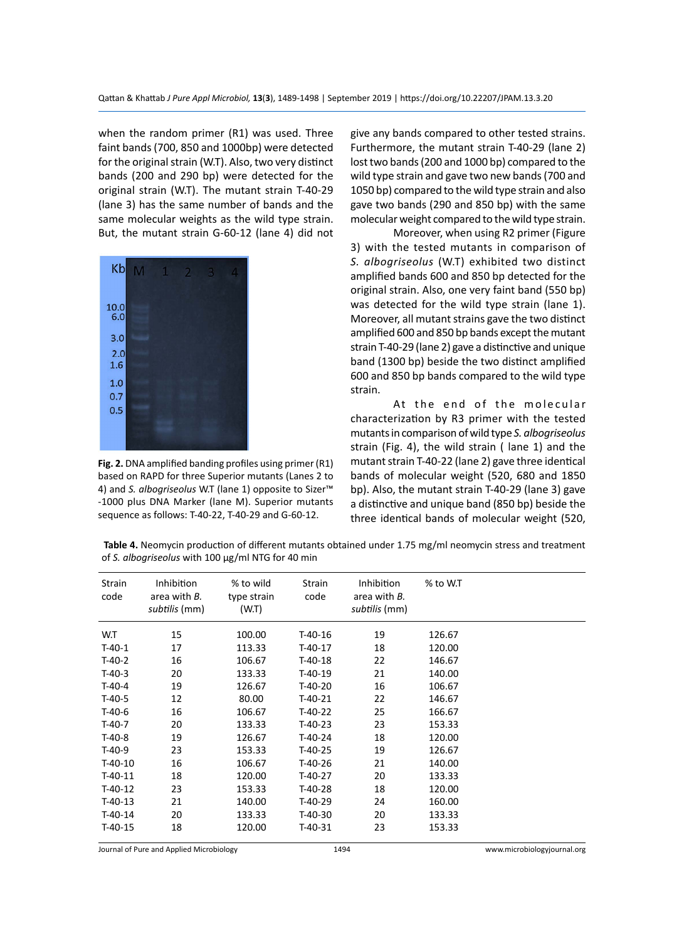when the random primer (R1) was used. Three faint bands (700, 850 and 1000bp) were detected for the original strain (W.T). Also, two very distinct bands (200 and 290 bp) were detected for the original strain (W.T). The mutant strain T-40-29 (lane 3) has the same number of bands and the same molecular weights as the wild type strain. But, the mutant strain G-60-12 (lane 4) did not



**Fig. 2.** DNA amplified banding profiles using primer (R1) based on RAPD for three Superior mutants (Lanes 2 to 4) and *S. albogriseolus* W.T (lane 1) opposite to Sizer™ -1000 plus DNA Marker (lane M). Superior mutants sequence as follows: T-40-22, T-40-29 and G-60-12.

give any bands compared to other tested strains. Furthermore, the mutant strain T-40-29 (lane 2) lost two bands (200 and 1000 bp) compared to the wild type strain and gave two new bands (700 and 1050 bp) compared to the wild type strain and also gave two bands (290 and 850 bp) with the same molecular weight compared to the wild type strain.

Moreover, when using R2 primer (Figure 3) with the tested mutants in comparison of *S. albogriseolus* (W.T) exhibited two distinct amplified bands 600 and 850 bp detected for the original strain. Also, one very faint band (550 bp) was detected for the wild type strain (lane 1). Moreover, all mutant strains gave the two distinct amplified 600 and 850 bp bands except the mutant strain T-40-29 (lane 2) gave a distinctive and unique band (1300 bp) beside the two distinct amplified 600 and 850 bp bands compared to the wild type strain.

At the end of the molecular characterization by R3 primer with the tested mutants in comparison of wild type *S. albogriseolus* strain (Fig. 4), the wild strain ( lane 1) and the mutant strain T-40-22 (lane 2) gave three identical bands of molecular weight (520, 680 and 1850 bp). Also, the mutant strain T-40-29 (lane 3) gave a distinctive and unique band (850 bp) beside the three identical bands of molecular weight (520,

**Table 4.** Neomycin production of different mutants obtained under 1.75 mg/ml neomycin stress and treatment of *S. albogriseolus* with 100 µg/ml NTG for 40 min

| Strain<br>code | Inhibition<br>area with B.<br>subtilis (mm) | % to wild<br>type strain<br>(W.T) | Strain<br>code | Inhibition<br>area with B.<br>subtilis (mm) | % to W.T |
|----------------|---------------------------------------------|-----------------------------------|----------------|---------------------------------------------|----------|
| W.T            | 15                                          | 100.00                            | T-40-16        | 19                                          | 126.67   |
| $T-40-1$       | 17                                          | 113.33                            | $T-40-17$      | 18                                          | 120.00   |
| $T-40-2$       | 16                                          | 106.67                            | T-40-18        | 22                                          | 146.67   |
| $T-40-3$       | 20                                          | 133.33                            | $T-40-19$      | 21                                          | 140.00   |
| $T-40-4$       | 19                                          | 126.67                            | T-40-20        | 16                                          | 106.67   |
| $T-40-5$       | 12                                          | 80.00                             | T-40-21        | 22                                          | 146.67   |
| $T-40-6$       | 16                                          | 106.67                            | $T-40-22$      | 25                                          | 166.67   |
| $T-40-7$       | 20                                          | 133.33                            | $T-40-23$      | 23                                          | 153.33   |
| $T-40-8$       | 19                                          | 126.67                            | T-40-24        | 18                                          | 120.00   |
| $T-40-9$       | 23                                          | 153.33                            | T-40-25        | 19                                          | 126.67   |
| $T-40-10$      | 16                                          | 106.67                            | T-40-26        | 21                                          | 140.00   |
| $T-40-11$      | 18                                          | 120.00                            | T-40-27        | 20                                          | 133.33   |
| $T-40-12$      | 23                                          | 153.33                            | T-40-28        | 18                                          | 120.00   |
| $T-40-13$      | 21                                          | 140.00                            | T-40-29        | 24                                          | 160.00   |
| $T-40-14$      | 20                                          | 133.33                            | T-40-30        | 20                                          | 133.33   |
| $T-40-15$      | 18                                          | 120.00                            | T-40-31        | 23                                          | 153.33   |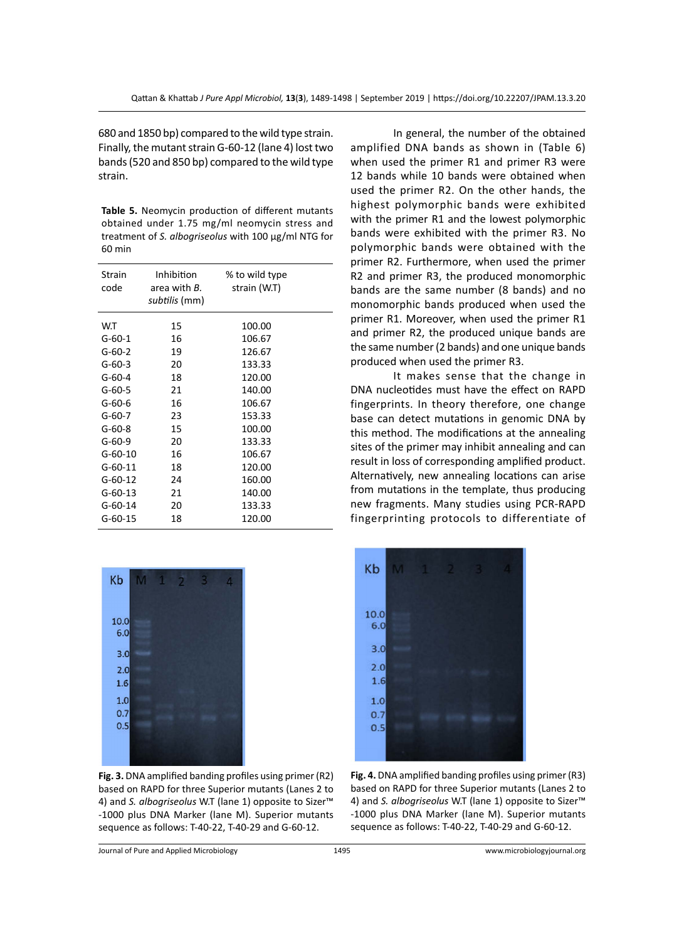680 and 1850 bp) compared to the wild type strain. Finally, the mutant strain G-60-12 (lane 4) lost two bands (520 and 850 bp) compared to the wild type strain.

**Table 5.** Neomycin production of different mutants obtained under 1.75 mg/ml neomycin stress and treatment of *S. albogriseolus* with 100 µg/ml NTG for 60 min

| Strain<br>code  | Inhibition<br>area with <i>B</i> .<br>subtilis (mm) | % to wild type<br>strain (W.T) |  |
|-----------------|-----------------------------------------------------|--------------------------------|--|
| W.T<br>$G-60-1$ | 15<br>16                                            | 100.00<br>106.67               |  |
| $G-60-2$        | 19                                                  | 126.67                         |  |
| $G-60-3$        | 20                                                  | 133.33                         |  |
| $G-60-4$        | 18                                                  | 120.00                         |  |
| $G-60-5$        | 21                                                  | 140.00                         |  |
| $G-60-6$        | 16                                                  | 106.67                         |  |
| G-60-7          | 23                                                  | 153.33                         |  |
| $G-60-8$        | 15                                                  | 100.00                         |  |
| $G-60-9$        | 20                                                  | 133.33                         |  |
| $G-60-10$       | 16                                                  | 106.67                         |  |
| $G-60-11$       | 18                                                  | 120.00                         |  |
| $G-60-12$       | 24                                                  | 160.00                         |  |
| $G-60-13$       | 21                                                  | 140.00                         |  |
| $G-60-14$       | 20                                                  | 133.33                         |  |
| $G-60-15$       | 18                                                  | 120.00                         |  |



**Fig. 3.** DNA amplified banding profiles using primer (R2) based on RAPD for three Superior mutants (Lanes 2 to 4) and *S. albogriseolus* W.T (lane 1) opposite to Sizer™ -1000 plus DNA Marker (lane M). Superior mutants sequence as follows: T-40-22, T-40-29 and G-60-12.

In general, the number of the obtained amplified DNA bands as shown in (Table 6) when used the primer R1 and primer R3 were 12 bands while 10 bands were obtained when used the primer R2. On the other hands, the highest polymorphic bands were exhibited with the primer R1 and the lowest polymorphic bands were exhibited with the primer R3. No polymorphic bands were obtained with the primer R2. Furthermore, when used the primer R2 and primer R3, the produced monomorphic bands are the same number (8 bands) and no monomorphic bands produced when used the primer R1. Moreover, when used the primer R1 and primer R2, the produced unique bands are the same number (2 bands) and one unique bands produced when used the primer R3.

It makes sense that the change in DNA nucleotides must have the effect on RAPD fingerprints. In theory therefore, one change base can detect mutations in genomic DNA by this method. The modifications at the annealing sites of the primer may inhibit annealing and can result in loss of corresponding amplified product. Alternatively, new annealing locations can arise from mutations in the template, thus producing new fragments. Many studies using PCR-RAPD fingerprinting protocols to differentiate of



**Fig. 4.** DNA amplified banding profiles using primer (R3) based on RAPD for three Superior mutants (Lanes 2 to 4) and *S. albogriseolus* W.T (lane 1) opposite to Sizer™ -1000 plus DNA Marker (lane M). Superior mutants sequence as follows: T-40-22, T-40-29 and G-60-12.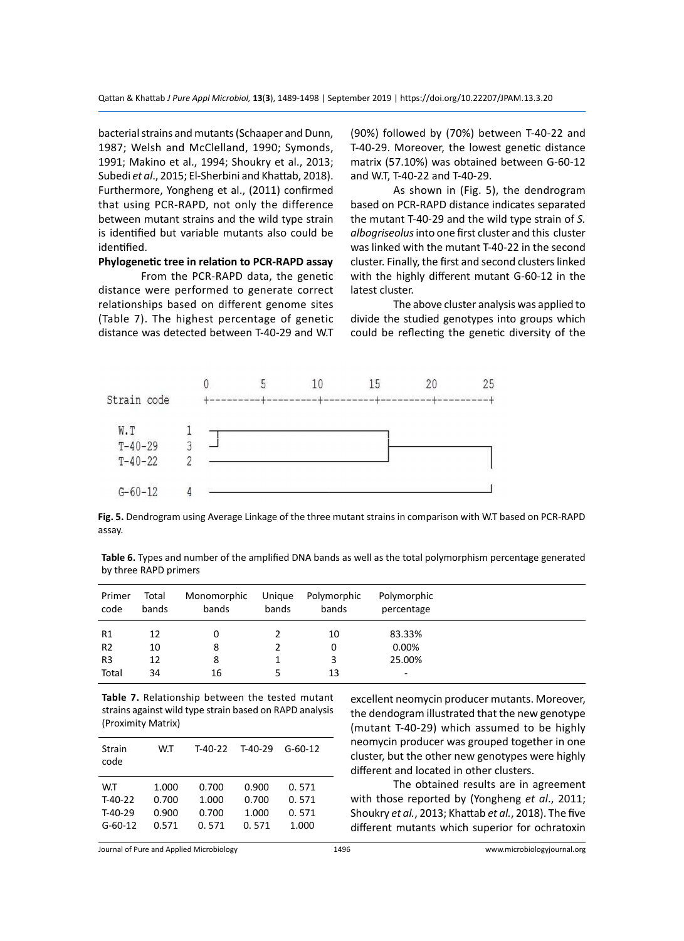bacterial strains and mutants (Schaaper and Dunn, 1987; Welsh and McClelland, 1990; Symonds, 1991; Makino et al., 1994; Shoukry et al., 2013; Subedi *et al*., 2015; El-Sherbini and Khattab, 2018). Furthermore, Yongheng et al., (2011) confirmed that using PCR-RAPD, not only the difference between mutant strains and the wild type strain is identified but variable mutants also could be identified.

#### **Phylogenetic tree in relation to PCR-RAPD assay**

From the PCR-RAPD data, the genetic distance were performed to generate correct relationships based on different genome sites (Table 7). The highest percentage of genetic distance was detected between T-40-29 and W.T (90%) followed by (70%) between T-40-22 and T-40-29. Moreover, the lowest genetic distance matrix (57.10%) was obtained between G-60-12 and W.T, T-40-22 and T-40-29.

As shown in (Fig. 5), the dendrogram based on PCR-RAPD distance indicates separated the mutant T-40-29 and the wild type strain of *S. albogriseolus* into one first cluster and this cluster was linked with the mutant T-40-22 in the second cluster. Finally, the first and second clusters linked with the highly different mutant G-60-12 in the latest cluster.

The above cluster analysis was applied to divide the studied genotypes into groups which could be reflecting the genetic diversity of the



**Fig. 5.** Dendrogram using Average Linkage of the three mutant strains in comparison with W.T based on PCR-RAPD assay.

| Table 6. Types and number of the amplified DNA bands as well as the total polymorphism percentage generated |  |  |  |
|-------------------------------------------------------------------------------------------------------------|--|--|--|
| by three RAPD primers                                                                                       |  |  |  |

| Primer<br>code | Total<br>bands | Monomorphic<br>bands | Unique<br>bands | Polymorphic<br>bands | Polymorphic<br>percentage |  |
|----------------|----------------|----------------------|-----------------|----------------------|---------------------------|--|
| R <sub>1</sub> | 12             |                      |                 | 10                   | 83.33%                    |  |
| R <sub>2</sub> | 10             | 8                    |                 | 0                    | 0.00%                     |  |
| R <sub>3</sub> | 12             | 8                    |                 | 3                    | 25.00%                    |  |
| Total          | 34             | 16                   |                 | 13                   | ۰                         |  |

**Table 7.** Relationship between the tested mutant strains against wild type strain based on RAPD analysis (Proximity Matrix)

| Strain<br>code | W.T   | T-40-22 | $T-40-29$ | $G - 60 - 12$ |
|----------------|-------|---------|-----------|---------------|
| W.T            | 1.000 | 0.700   | 0.900     | 0.571         |
| $T-40-22$      | 0.700 | 1.000   | 0.700     | 0.571         |
| $T-40-29$      | 0.900 | 0.700   | 1.000     | 0.571         |
| $G-60-12$      | 0.571 | 0.571   | 0.571     | 1.000         |

excellent neomycin producer mutants. Moreover, the dendogram illustrated that the new genotype (mutant T-40-29) which assumed to be highly neomycin producer was grouped together in one cluster, but the other new genotypes were highly different and located in other clusters.

The obtained results are in agreement with those reported by (Yongheng *et al*., 2011; Shoukry *et al.*, 2013; Khattab *et al.*, 2018). The five different mutants which superior for ochratoxin

Journal of Pure and Applied Microbiology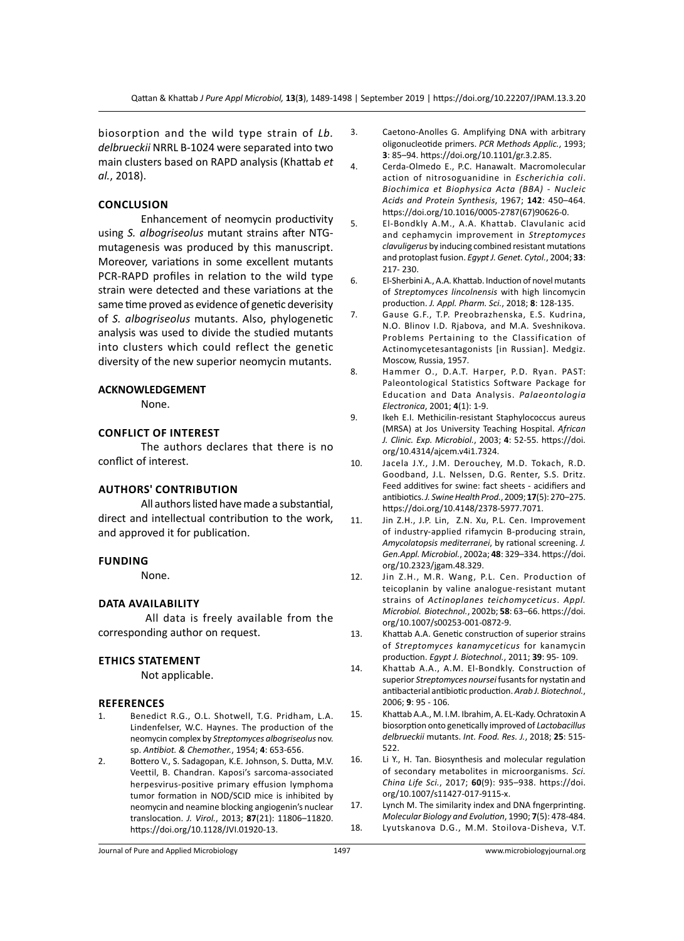biosorption and the wild type strain of *Lb. delbrueckii* NRRL B-1024 were separated into two main clusters based on RAPD analysis (Khattab *et al.*, 2018).

#### **Conclusion**

Enhancement of neomycin productivity using *S. albogriseolus* mutant strains after NTGmutagenesis was produced by this manuscript. Moreover, variations in some excellent mutants PCR-RAPD profiles in relation to the wild type strain were detected and these variations at the same time proved as evidence of genetic deverisity of *S. albogriseolus* mutants. Also, phylogenetic analysis was used to divide the studied mutants into clusters which could reflect the genetic diversity of the new superior neomycin mutants.

#### **ACKNOWLEDGEMENT**

None.

#### **Conflict of Interest**

The authors declares that there is no conflict of interest.

#### **Authors' Contribution**

All authors listed have made a substantial, direct and intellectual contribution to the work, and approved it for publication.

#### **Funding**

None.

## **Data Availability**

 All data is freely available from the corresponding author on request.

#### **Ethics Statement**

Not applicable.

#### **References**

- 1. Benedict R.G., O.L. Shotwell, T.G. Pridham, L.A. Lindenfelser, W.C. Haynes. The production of the neomycin complex by *Streptomyces albogriseolus* nov. sp. *Antibiot. & Chemother.*, 1954; **4**: 653-656.
- 2. Bottero V., S. Sadagopan, K.E. Johnson, S. Dutta, M.V. Veettil, B. Chandran. Kaposi's sarcoma-associated herpesvirus-positive primary effusion lymphoma tumor formation in NOD/SCID mice is inhibited by neomycin and neamine blocking angiogenin's nuclear translocation. *J. Virol.*, 2013; **87**(21): 11806–11820. https://doi.org/10.1128/JVI.01920-13.
- 3. Caetono-Anolles G. Amplifying DNA with arbitrary oligonucleotide primers. *PCR Methods Applic.*, 1993; **3**: 85–94. https://doi.org/10.1101/gr.3.2.85.
- 4. Cerda-Olmedo E., P.C. Hanawalt. Macromolecular action of nitrosoguanidine in *Escherichia coli*. *Biochimica et Biophysica Acta (BBA) - Nucleic Acids and Protein Synthesis*, 1967; **142**: 450–464. https://doi.org/10.1016/0005-2787(67)90626-0.
- 5. El-Bondkly A.M., A.A. Khattab. Clavulanic acid and cephamycin improvement in *Streptomyces clavuligerus* by inducing combined resistant mutations and protoplast fusion. *Egypt J. Genet. Cytol.*, 2004; **33**: 217- 230.
- 6. El-Sherbini A., A.A. Khattab. Induction of novel mutants of *Streptomyces lincolnensis* with high lincomycin production. *J. Appl. Pharm. Sci.*, 2018; **8**: 128-135.
- 7. Gause G.F., T.P. Preobrazhenska, E.S. Kudrina, N.O. Blinov I.D. Rjabova, and M.A. Sveshnikova. Problems Pertaining to the Classification of Actinomycetesantagonists [in Russian]. Medgiz. Moscow, Russia, 1957.
- 8. Hammer O., D.A.T. Harper, P.D. Ryan. PAST: Paleontological Statistics Software Package for Education and Data Analysis. *Palaeontologia Electronica*, 2001; **4**(1): 1-9.
- 9. Ikeh E.I. Methicilin-resistant Staphylococcus aureus (MRSA) at Jos University Teaching Hospital. *African J. Clinic. Exp. Microbiol.*, 2003; **4**: 52-55. https://doi. org/10.4314/ajcem.v4i1.7324.
- 10. Jacela J.Y., J.M. Derouchey, M.D. Tokach, R.D. Goodband, J.L. Nelssen, D.G. Renter, S.S. Dritz. Feed additives for swine: fact sheets - acidifiers and antibiotics. *J. Swine Health Prod.*, 2009; **17**(5): 270–275. https://doi.org/10.4148/2378-5977.7071.
- 11. Jin Z.H., J.P. Lin, Z.N. Xu, P.L. Cen. Improvement of industry-applied rifamycin B-producing strain, *Amycolatopsis mediterranei*, by rational screening. *J. Gen.Appl. Microbiol.*, 2002a; **48**: 329–334. https://doi. org/10.2323/jgam.48.329.
- 12. Jin Z.H., M.R. Wang, P.L. Cen. Production of teicoplanin by valine analogue-resistant mutant strains of *Actinoplanes teichomyceticus*. *Appl. Microbiol. Biotechnol.*, 2002b; **58**: 63–66. https://doi. org/10.1007/s00253-001-0872-9.
- 13. Khattab A.A. Genetic construction of superior strains of *Streptomyces kanamyceticus* for kanamycin production. *Egypt J. Biotechnol.*, 2011; **39**: 95- 109.
- 14. Khattab A.A., A.M. El-Bondkly. Construction of superior *Streptomyces noursei* fusants for nystatin and antibacterial antibiotic production. *Arab J. Biotechnol.*, 2006; **9**: 95 - 106.
- 15. Khattab A.A., M. I.M. Ibrahim, A. EL-Kady. Ochratoxin A biosorption onto genetically improved of *Lactobacillus delbrueckii* mutants. *Int. Food. Res. J.*, 2018; **25**: 515- 522.
- 16. Li Y., H. Tan. Biosynthesis and molecular regulation of secondary metabolites in microorganisms. *Sci. China Life Sci.*, 2017; **60**(9): 935–938. https://doi. org/10.1007/s11427-017-9115-x.
- 17. Lynch M. The similarity index and DNA fngerprinting. *Molecular Biology and Evolution*, 1990; **7**(5): 478-484. 18. Lyutskanova D.G., M.M. Stoilova-Disheva, V.T.

Journal of Pure and Applied Microbiology 1497 www.microbiologyjournal.org